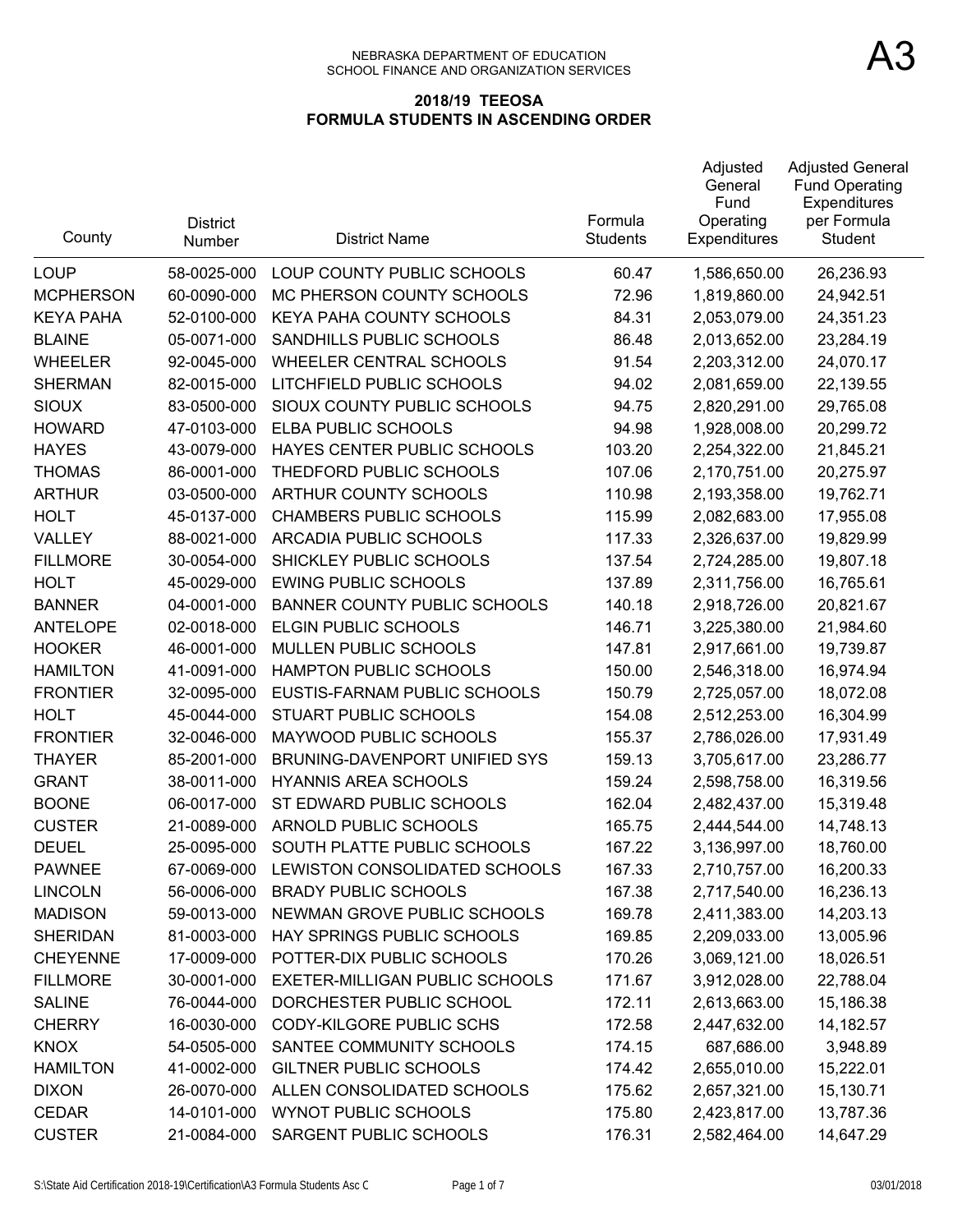| County           | <b>District</b><br>Number | <b>District Name</b>                | Formula<br><b>Students</b> | Adjusted<br>General<br>Fund<br>Operating<br><b>Expenditures</b> | <b>Adjusted General</b><br><b>Fund Operating</b><br>Expenditures<br>per Formula<br>Student |
|------------------|---------------------------|-------------------------------------|----------------------------|-----------------------------------------------------------------|--------------------------------------------------------------------------------------------|
| <b>LOUP</b>      | 58-0025-000               | LOUP COUNTY PUBLIC SCHOOLS          | 60.47                      | 1,586,650.00                                                    | 26,236.93                                                                                  |
| <b>MCPHERSON</b> | 60-0090-000               | MC PHERSON COUNTY SCHOOLS           | 72.96                      | 1,819,860.00                                                    | 24,942.51                                                                                  |
| <b>KEYA PAHA</b> | 52-0100-000               | KEYA PAHA COUNTY SCHOOLS            | 84.31                      | 2,053,079.00                                                    | 24,351.23                                                                                  |
| <b>BLAINE</b>    | 05-0071-000               | SANDHILLS PUBLIC SCHOOLS            | 86.48                      | 2,013,652.00                                                    | 23,284.19                                                                                  |
| <b>WHEELER</b>   | 92-0045-000               | <b>WHEELER CENTRAL SCHOOLS</b>      | 91.54                      | 2,203,312.00                                                    | 24,070.17                                                                                  |
| <b>SHERMAN</b>   | 82-0015-000               | LITCHFIELD PUBLIC SCHOOLS           | 94.02                      | 2,081,659.00                                                    | 22,139.55                                                                                  |
| <b>SIOUX</b>     | 83-0500-000               | SIOUX COUNTY PUBLIC SCHOOLS         | 94.75                      | 2,820,291.00                                                    | 29,765.08                                                                                  |
| <b>HOWARD</b>    | 47-0103-000               | <b>ELBA PUBLIC SCHOOLS</b>          | 94.98                      | 1,928,008.00                                                    | 20,299.72                                                                                  |
| <b>HAYES</b>     | 43-0079-000               | HAYES CENTER PUBLIC SCHOOLS         | 103.20                     | 2,254,322.00                                                    | 21,845.21                                                                                  |
| <b>THOMAS</b>    | 86-0001-000               | THEDFORD PUBLIC SCHOOLS             | 107.06                     | 2,170,751.00                                                    | 20,275.97                                                                                  |
| <b>ARTHUR</b>    | 03-0500-000               | ARTHUR COUNTY SCHOOLS               | 110.98                     | 2,193,358.00                                                    | 19,762.71                                                                                  |
| <b>HOLT</b>      | 45-0137-000               | <b>CHAMBERS PUBLIC SCHOOLS</b>      | 115.99                     | 2,082,683.00                                                    | 17,955.08                                                                                  |
| VALLEY           | 88-0021-000               | ARCADIA PUBLIC SCHOOLS              | 117.33                     | 2,326,637.00                                                    | 19,829.99                                                                                  |
| <b>FILLMORE</b>  | 30-0054-000               | SHICKLEY PUBLIC SCHOOLS             | 137.54                     | 2,724,285.00                                                    | 19,807.18                                                                                  |
| <b>HOLT</b>      | 45-0029-000               | <b>EWING PUBLIC SCHOOLS</b>         | 137.89                     | 2,311,756.00                                                    | 16,765.61                                                                                  |
| <b>BANNER</b>    | 04-0001-000               | <b>BANNER COUNTY PUBLIC SCHOOLS</b> | 140.18                     | 2,918,726.00                                                    | 20,821.67                                                                                  |
| <b>ANTELOPE</b>  | 02-0018-000               | <b>ELGIN PUBLIC SCHOOLS</b>         | 146.71                     | 3,225,380.00                                                    | 21,984.60                                                                                  |
| <b>HOOKER</b>    | 46-0001-000               | MULLEN PUBLIC SCHOOLS               | 147.81                     | 2,917,661.00                                                    | 19,739.87                                                                                  |
| <b>HAMILTON</b>  | 41-0091-000               | HAMPTON PUBLIC SCHOOLS              | 150.00                     | 2,546,318.00                                                    | 16,974.94                                                                                  |
| <b>FRONTIER</b>  | 32-0095-000               | EUSTIS-FARNAM PUBLIC SCHOOLS        | 150.79                     | 2,725,057.00                                                    | 18,072.08                                                                                  |
| <b>HOLT</b>      | 45-0044-000               | <b>STUART PUBLIC SCHOOLS</b>        | 154.08                     | 2,512,253.00                                                    | 16,304.99                                                                                  |
| <b>FRONTIER</b>  | 32-0046-000               | MAYWOOD PUBLIC SCHOOLS              | 155.37                     | 2,786,026.00                                                    | 17,931.49                                                                                  |
| <b>THAYER</b>    | 85-2001-000               | BRUNING-DAVENPORT UNIFIED SYS       | 159.13                     | 3,705,617.00                                                    | 23,286.77                                                                                  |
| <b>GRANT</b>     | 38-0011-000               | <b>HYANNIS AREA SCHOOLS</b>         | 159.24                     | 2,598,758.00                                                    | 16,319.56                                                                                  |
| <b>BOONE</b>     | 06-0017-000               | ST EDWARD PUBLIC SCHOOLS            | 162.04                     | 2,482,437.00                                                    | 15,319.48                                                                                  |
| <b>CUSTER</b>    | 21-0089-000               | ARNOLD PUBLIC SCHOOLS               | 165.75                     | 2,444,544.00                                                    | 14,748.13                                                                                  |
| <b>DEUEL</b>     | 25-0095-000               | SOUTH PLATTE PUBLIC SCHOOLS         | 167.22                     | 3,136,997.00                                                    | 18,760.00                                                                                  |
| <b>PAWNEE</b>    | 67-0069-000               | LEWISTON CONSOLIDATED SCHOOLS       | 167.33                     | 2,710,757.00                                                    | 16,200.33                                                                                  |
| <b>LINCOLN</b>   | 56-0006-000               | <b>BRADY PUBLIC SCHOOLS</b>         | 167.38                     | 2,717,540.00                                                    | 16,236.13                                                                                  |
| <b>MADISON</b>   | 59-0013-000               | NEWMAN GROVE PUBLIC SCHOOLS         | 169.78                     | 2,411,383.00                                                    | 14,203.13                                                                                  |
| <b>SHERIDAN</b>  | 81-0003-000               | HAY SPRINGS PUBLIC SCHOOLS          | 169.85                     | 2,209,033.00                                                    | 13,005.96                                                                                  |
| <b>CHEYENNE</b>  | 17-0009-000               | POTTER-DIX PUBLIC SCHOOLS           | 170.26                     | 3,069,121.00                                                    | 18,026.51                                                                                  |
| <b>FILLMORE</b>  | 30-0001-000               | EXETER-MILLIGAN PUBLIC SCHOOLS      | 171.67                     | 3,912,028.00                                                    | 22,788.04                                                                                  |
| <b>SALINE</b>    | 76-0044-000               | DORCHESTER PUBLIC SCHOOL            | 172.11                     | 2,613,663.00                                                    | 15,186.38                                                                                  |
| <b>CHERRY</b>    | 16-0030-000               | <b>CODY-KILGORE PUBLIC SCHS</b>     | 172.58                     | 2,447,632.00                                                    | 14,182.57                                                                                  |
| <b>KNOX</b>      | 54-0505-000               | SANTEE COMMUNITY SCHOOLS            | 174.15                     | 687,686.00                                                      | 3,948.89                                                                                   |
| <b>HAMILTON</b>  | 41-0002-000               | <b>GILTNER PUBLIC SCHOOLS</b>       | 174.42                     | 2,655,010.00                                                    | 15,222.01                                                                                  |
| <b>DIXON</b>     | 26-0070-000               | ALLEN CONSOLIDATED SCHOOLS          | 175.62                     | 2,657,321.00                                                    | 15,130.71                                                                                  |
| <b>CEDAR</b>     | 14-0101-000               | WYNOT PUBLIC SCHOOLS                | 175.80                     | 2,423,817.00                                                    | 13,787.36                                                                                  |
| <b>CUSTER</b>    | 21-0084-000               | SARGENT PUBLIC SCHOOLS              | 176.31                     | 2,582,464.00                                                    | 14,647.29                                                                                  |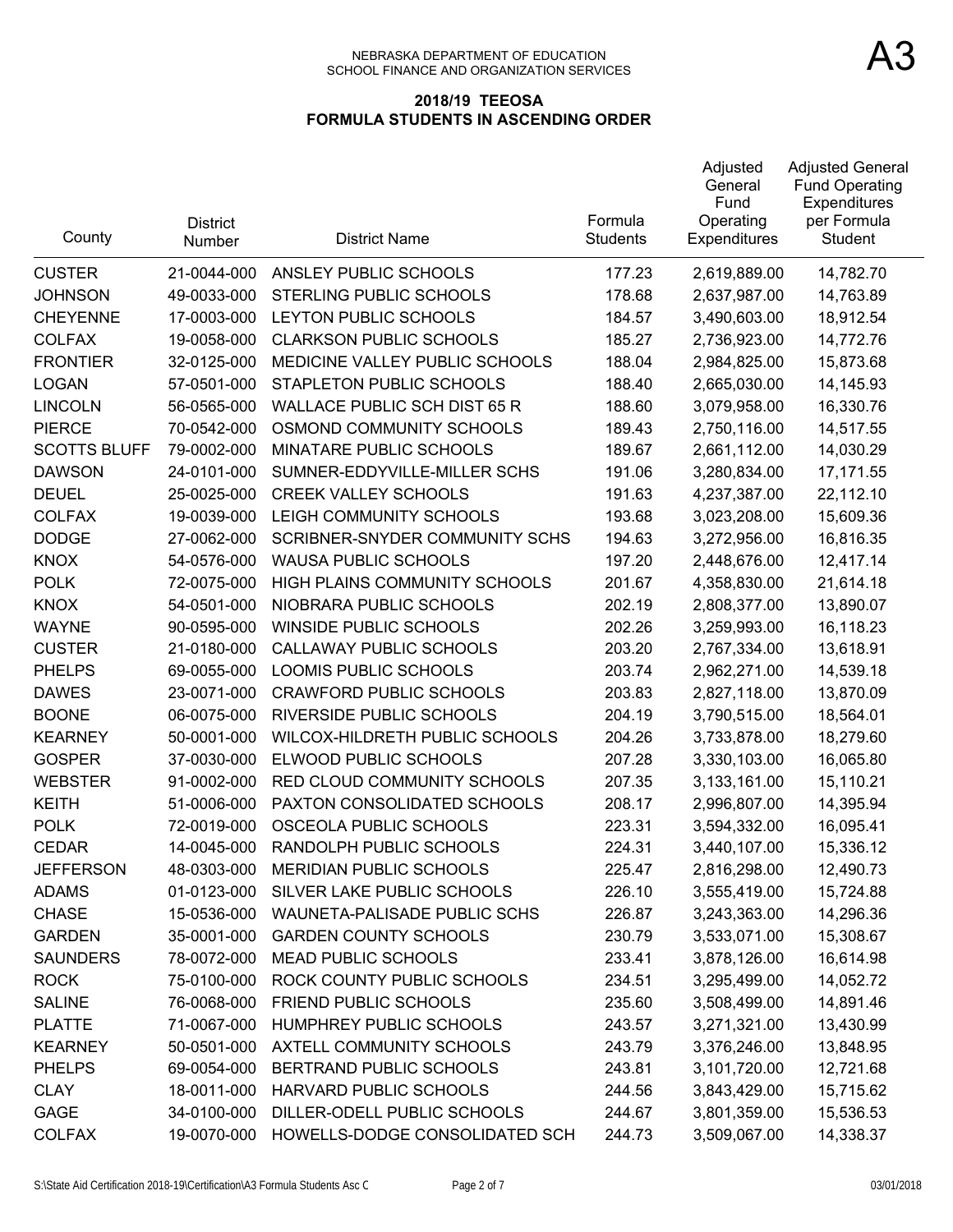| County              | <b>District</b><br>Number | <b>District Name</b>                  | Formula<br><b>Students</b> | Adjusted<br>General<br>Fund<br>Operating<br>Expenditures | <b>Adjusted General</b><br><b>Fund Operating</b><br>Expenditures<br>per Formula<br><b>Student</b> |
|---------------------|---------------------------|---------------------------------------|----------------------------|----------------------------------------------------------|---------------------------------------------------------------------------------------------------|
| <b>CUSTER</b>       | 21-0044-000               | ANSLEY PUBLIC SCHOOLS                 | 177.23                     | 2,619,889.00                                             | 14,782.70                                                                                         |
| <b>JOHNSON</b>      | 49-0033-000               | STERLING PUBLIC SCHOOLS               | 178.68                     | 2,637,987.00                                             | 14,763.89                                                                                         |
| <b>CHEYENNE</b>     | 17-0003-000               | LEYTON PUBLIC SCHOOLS                 | 184.57                     | 3,490,603.00                                             | 18,912.54                                                                                         |
| <b>COLFAX</b>       | 19-0058-000               | <b>CLARKSON PUBLIC SCHOOLS</b>        | 185.27                     | 2,736,923.00                                             | 14,772.76                                                                                         |
| <b>FRONTIER</b>     | 32-0125-000               | MEDICINE VALLEY PUBLIC SCHOOLS        | 188.04                     | 2,984,825.00                                             | 15,873.68                                                                                         |
| <b>LOGAN</b>        | 57-0501-000               | STAPLETON PUBLIC SCHOOLS              | 188.40                     | 2,665,030.00                                             | 14,145.93                                                                                         |
| <b>LINCOLN</b>      | 56-0565-000               | <b>WALLACE PUBLIC SCH DIST 65 R</b>   | 188.60                     | 3,079,958.00                                             | 16,330.76                                                                                         |
| <b>PIERCE</b>       | 70-0542-000               | OSMOND COMMUNITY SCHOOLS              | 189.43                     | 2,750,116.00                                             | 14,517.55                                                                                         |
| <b>SCOTTS BLUFF</b> | 79-0002-000               | MINATARE PUBLIC SCHOOLS               | 189.67                     | 2,661,112.00                                             | 14,030.29                                                                                         |
| <b>DAWSON</b>       | 24-0101-000               | SUMNER-EDDYVILLE-MILLER SCHS          | 191.06                     | 3,280,834.00                                             | 17,171.55                                                                                         |
| <b>DEUEL</b>        | 25-0025-000               | <b>CREEK VALLEY SCHOOLS</b>           | 191.63                     | 4,237,387.00                                             | 22,112.10                                                                                         |
| <b>COLFAX</b>       | 19-0039-000               | LEIGH COMMUNITY SCHOOLS               | 193.68                     | 3,023,208.00                                             | 15,609.36                                                                                         |
| <b>DODGE</b>        | 27-0062-000               | <b>SCRIBNER-SNYDER COMMUNITY SCHS</b> | 194.63                     | 3,272,956.00                                             | 16,816.35                                                                                         |
| <b>KNOX</b>         | 54-0576-000               | <b>WAUSA PUBLIC SCHOOLS</b>           | 197.20                     | 2,448,676.00                                             | 12,417.14                                                                                         |
| <b>POLK</b>         | 72-0075-000               | HIGH PLAINS COMMUNITY SCHOOLS         | 201.67                     | 4,358,830.00                                             | 21,614.18                                                                                         |
| <b>KNOX</b>         | 54-0501-000               | NIOBRARA PUBLIC SCHOOLS               | 202.19                     | 2,808,377.00                                             | 13,890.07                                                                                         |
| <b>WAYNE</b>        | 90-0595-000               | <b>WINSIDE PUBLIC SCHOOLS</b>         | 202.26                     | 3,259,993.00                                             | 16,118.23                                                                                         |
| <b>CUSTER</b>       | 21-0180-000               | CALLAWAY PUBLIC SCHOOLS               | 203.20                     | 2,767,334.00                                             | 13,618.91                                                                                         |
| <b>PHELPS</b>       | 69-0055-000               | LOOMIS PUBLIC SCHOOLS                 | 203.74                     | 2,962,271.00                                             | 14,539.18                                                                                         |
| <b>DAWES</b>        | 23-0071-000               | <b>CRAWFORD PUBLIC SCHOOLS</b>        | 203.83                     | 2,827,118.00                                             | 13,870.09                                                                                         |
| <b>BOONE</b>        | 06-0075-000               | RIVERSIDE PUBLIC SCHOOLS              | 204.19                     | 3,790,515.00                                             | 18,564.01                                                                                         |
| <b>KEARNEY</b>      | 50-0001-000               | WILCOX-HILDRETH PUBLIC SCHOOLS        | 204.26                     | 3,733,878.00                                             | 18,279.60                                                                                         |
| <b>GOSPER</b>       | 37-0030-000               | ELWOOD PUBLIC SCHOOLS                 | 207.28                     | 3,330,103.00                                             | 16,065.80                                                                                         |
| <b>WEBSTER</b>      | 91-0002-000               | RED CLOUD COMMUNITY SCHOOLS           | 207.35                     | 3,133,161.00                                             | 15,110.21                                                                                         |
| <b>KEITH</b>        | 51-0006-000               | PAXTON CONSOLIDATED SCHOOLS           | 208.17                     | 2,996,807.00                                             | 14,395.94                                                                                         |
| <b>POLK</b>         | 72-0019-000               | OSCEOLA PUBLIC SCHOOLS                | 223.31                     | 3,594,332.00                                             | 16,095.41                                                                                         |
| <b>CEDAR</b>        | 14-0045-000               | RANDOLPH PUBLIC SCHOOLS               | 224.31                     | 3,440,107.00                                             | 15,336.12                                                                                         |
| <b>JEFFERSON</b>    |                           | 48-0303-000 MERIDIAN PUBLIC SCHOOLS   | 225.47                     | 2,816,298.00                                             | 12,490.73                                                                                         |
| <b>ADAMS</b>        | 01-0123-000               | SILVER LAKE PUBLIC SCHOOLS            | 226.10                     | 3,555,419.00                                             | 15,724.88                                                                                         |
| <b>CHASE</b>        | 15-0536-000               | WAUNETA-PALISADE PUBLIC SCHS          | 226.87                     | 3,243,363.00                                             | 14,296.36                                                                                         |
| <b>GARDEN</b>       | 35-0001-000               | <b>GARDEN COUNTY SCHOOLS</b>          | 230.79                     | 3,533,071.00                                             | 15,308.67                                                                                         |
| <b>SAUNDERS</b>     | 78-0072-000               | <b>MEAD PUBLIC SCHOOLS</b>            | 233.41                     | 3,878,126.00                                             | 16,614.98                                                                                         |
| <b>ROCK</b>         | 75-0100-000               | ROCK COUNTY PUBLIC SCHOOLS            | 234.51                     | 3,295,499.00                                             | 14,052.72                                                                                         |
| <b>SALINE</b>       | 76-0068-000               | <b>FRIEND PUBLIC SCHOOLS</b>          | 235.60                     | 3,508,499.00                                             | 14,891.46                                                                                         |
| <b>PLATTE</b>       | 71-0067-000               | HUMPHREY PUBLIC SCHOOLS               | 243.57                     | 3,271,321.00                                             | 13,430.99                                                                                         |
| <b>KEARNEY</b>      | 50-0501-000               | AXTELL COMMUNITY SCHOOLS              | 243.79                     | 3,376,246.00                                             | 13,848.95                                                                                         |
| <b>PHELPS</b>       | 69-0054-000               | BERTRAND PUBLIC SCHOOLS               | 243.81                     | 3,101,720.00                                             | 12,721.68                                                                                         |
| <b>CLAY</b>         | 18-0011-000               | HARVARD PUBLIC SCHOOLS                | 244.56                     | 3,843,429.00                                             | 15,715.62                                                                                         |
| GAGE                | 34-0100-000               | DILLER-ODELL PUBLIC SCHOOLS           | 244.67                     | 3,801,359.00                                             | 15,536.53                                                                                         |
| <b>COLFAX</b>       | 19-0070-000               | HOWELLS-DODGE CONSOLIDATED SCH        | 244.73                     | 3,509,067.00                                             | 14,338.37                                                                                         |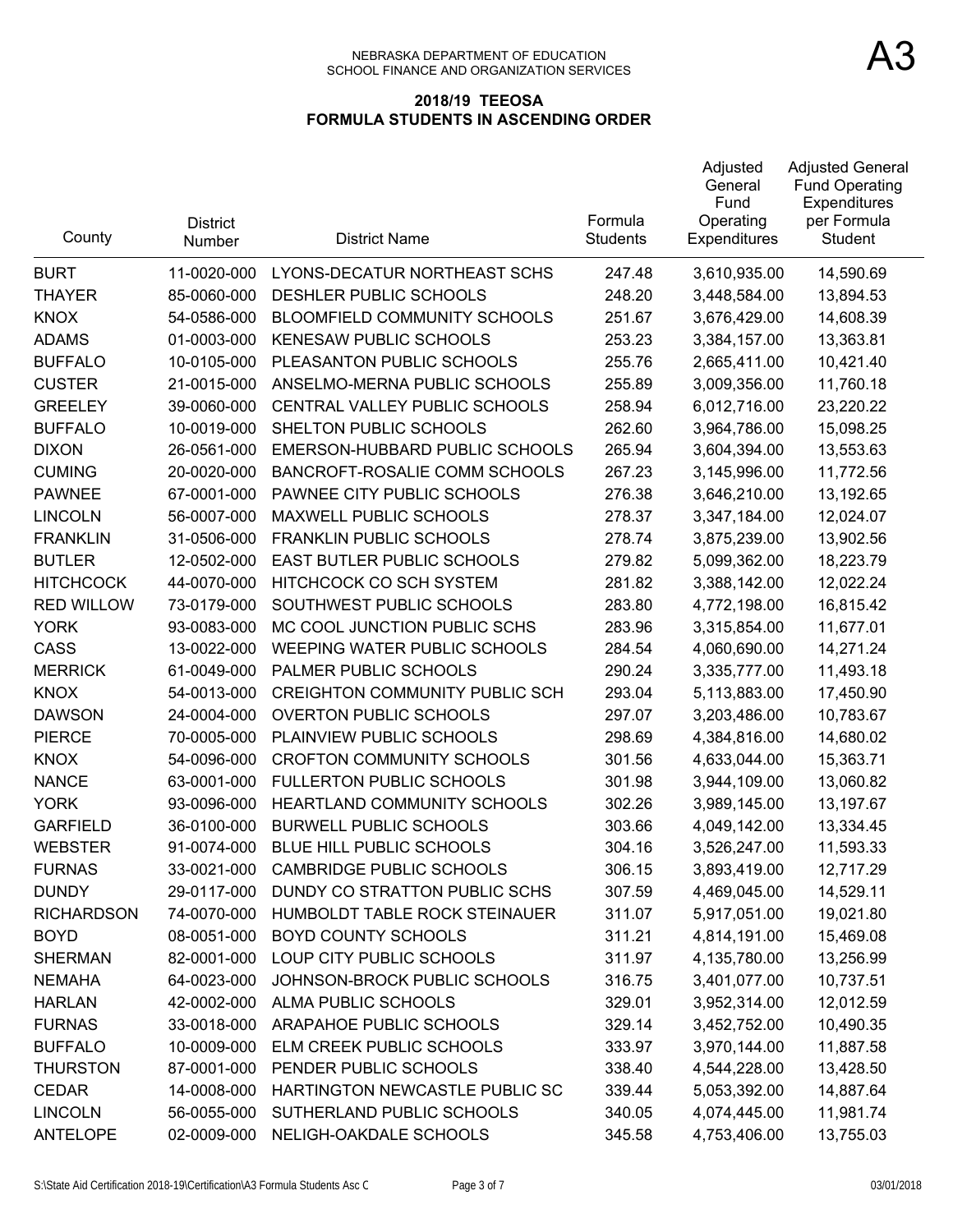| County            | <b>District</b><br><b>Number</b> | <b>District Name</b>                  | Formula<br><b>Students</b> | Adjusted<br>General<br>Fund<br>Operating<br><b>Expenditures</b> | <b>Adjusted General</b><br><b>Fund Operating</b><br>Expenditures<br>per Formula<br>Student |
|-------------------|----------------------------------|---------------------------------------|----------------------------|-----------------------------------------------------------------|--------------------------------------------------------------------------------------------|
| <b>BURT</b>       | 11-0020-000                      | LYONS-DECATUR NORTHEAST SCHS          | 247.48                     | 3,610,935.00                                                    | 14,590.69                                                                                  |
| <b>THAYER</b>     | 85-0060-000                      | DESHLER PUBLIC SCHOOLS                | 248.20                     | 3,448,584.00                                                    | 13,894.53                                                                                  |
| <b>KNOX</b>       | 54-0586-000                      | BLOOMFIELD COMMUNITY SCHOOLS          | 251.67                     | 3,676,429.00                                                    | 14,608.39                                                                                  |
| <b>ADAMS</b>      | 01-0003-000                      | <b>KENESAW PUBLIC SCHOOLS</b>         | 253.23                     | 3,384,157.00                                                    | 13,363.81                                                                                  |
| <b>BUFFALO</b>    | 10-0105-000                      | PLEASANTON PUBLIC SCHOOLS             | 255.76                     | 2,665,411.00                                                    | 10,421.40                                                                                  |
| <b>CUSTER</b>     | 21-0015-000                      | ANSELMO-MERNA PUBLIC SCHOOLS          | 255.89                     | 3,009,356.00                                                    | 11,760.18                                                                                  |
| <b>GREELEY</b>    | 39-0060-000                      | CENTRAL VALLEY PUBLIC SCHOOLS         | 258.94                     | 6,012,716.00                                                    | 23,220.22                                                                                  |
| <b>BUFFALO</b>    | 10-0019-000                      | SHELTON PUBLIC SCHOOLS                | 262.60                     | 3,964,786.00                                                    | 15,098.25                                                                                  |
| <b>DIXON</b>      | 26-0561-000                      | EMERSON-HUBBARD PUBLIC SCHOOLS        | 265.94                     | 3,604,394.00                                                    | 13,553.63                                                                                  |
| <b>CUMING</b>     | 20-0020-000                      | BANCROFT-ROSALIE COMM SCHOOLS         | 267.23                     | 3,145,996.00                                                    | 11,772.56                                                                                  |
| <b>PAWNEE</b>     | 67-0001-000                      | PAWNEE CITY PUBLIC SCHOOLS            | 276.38                     | 3,646,210.00                                                    | 13,192.65                                                                                  |
| <b>LINCOLN</b>    | 56-0007-000                      | MAXWELL PUBLIC SCHOOLS                | 278.37                     | 3,347,184.00                                                    | 12,024.07                                                                                  |
| <b>FRANKLIN</b>   | 31-0506-000                      | <b>FRANKLIN PUBLIC SCHOOLS</b>        | 278.74                     | 3,875,239.00                                                    | 13,902.56                                                                                  |
| <b>BUTLER</b>     | 12-0502-000                      | <b>EAST BUTLER PUBLIC SCHOOLS</b>     | 279.82                     | 5,099,362.00                                                    | 18,223.79                                                                                  |
| <b>HITCHCOCK</b>  | 44-0070-000                      | HITCHCOCK CO SCH SYSTEM               | 281.82                     | 3,388,142.00                                                    | 12,022.24                                                                                  |
| <b>RED WILLOW</b> | 73-0179-000                      | SOUTHWEST PUBLIC SCHOOLS              | 283.80                     | 4,772,198.00                                                    | 16,815.42                                                                                  |
| <b>YORK</b>       | 93-0083-000                      | MC COOL JUNCTION PUBLIC SCHS          | 283.96                     | 3,315,854.00                                                    | 11,677.01                                                                                  |
| <b>CASS</b>       | 13-0022-000                      | WEEPING WATER PUBLIC SCHOOLS          | 284.54                     | 4,060,690.00                                                    | 14,271.24                                                                                  |
| <b>MERRICK</b>    | 61-0049-000                      | PALMER PUBLIC SCHOOLS                 | 290.24                     | 3,335,777.00                                                    | 11,493.18                                                                                  |
| <b>KNOX</b>       | 54-0013-000                      | <b>CREIGHTON COMMUNITY PUBLIC SCH</b> | 293.04                     | 5,113,883.00                                                    | 17,450.90                                                                                  |
| <b>DAWSON</b>     | 24-0004-000                      | <b>OVERTON PUBLIC SCHOOLS</b>         | 297.07                     | 3,203,486.00                                                    | 10,783.67                                                                                  |
| <b>PIERCE</b>     | 70-0005-000                      | PLAINVIEW PUBLIC SCHOOLS              | 298.69                     | 4,384,816.00                                                    | 14,680.02                                                                                  |
| <b>KNOX</b>       | 54-0096-000                      | <b>CROFTON COMMUNITY SCHOOLS</b>      | 301.56                     | 4,633,044.00                                                    | 15,363.71                                                                                  |
| <b>NANCE</b>      | 63-0001-000                      | <b>FULLERTON PUBLIC SCHOOLS</b>       | 301.98                     | 3,944,109.00                                                    | 13,060.82                                                                                  |
| <b>YORK</b>       | 93-0096-000                      | HEARTLAND COMMUNITY SCHOOLS           | 302.26                     | 3,989,145.00                                                    | 13,197.67                                                                                  |
| <b>GARFIELD</b>   | 36-0100-000                      | <b>BURWELL PUBLIC SCHOOLS</b>         | 303.66                     | 4,049,142.00                                                    | 13,334.45                                                                                  |
| <b>WEBSTER</b>    | 91-0074-000                      | BLUE HILL PUBLIC SCHOOLS              | 304.16                     | 3,526,247.00                                                    | 11,593.33                                                                                  |
| <b>FURNAS</b>     | 33-0021-000                      | <b>CAMBRIDGE PUBLIC SCHOOLS</b>       | 306.15                     | 3,893,419.00                                                    | 12,717.29                                                                                  |
| <b>DUNDY</b>      | 29-0117-000                      | DUNDY CO STRATTON PUBLIC SCHS         | 307.59                     | 4,469,045.00                                                    | 14,529.11                                                                                  |
| <b>RICHARDSON</b> | 74-0070-000                      | HUMBOLDT TABLE ROCK STEINAUER         | 311.07                     | 5,917,051.00                                                    | 19,021.80                                                                                  |
| <b>BOYD</b>       | 08-0051-000                      | <b>BOYD COUNTY SCHOOLS</b>            | 311.21                     | 4,814,191.00                                                    | 15,469.08                                                                                  |
| <b>SHERMAN</b>    | 82-0001-000                      | LOUP CITY PUBLIC SCHOOLS              | 311.97                     | 4,135,780.00                                                    | 13,256.99                                                                                  |
| <b>NEMAHA</b>     | 64-0023-000                      | JOHNSON-BROCK PUBLIC SCHOOLS          | 316.75                     | 3,401,077.00                                                    | 10,737.51                                                                                  |
| <b>HARLAN</b>     | 42-0002-000                      | ALMA PUBLIC SCHOOLS                   | 329.01                     | 3,952,314.00                                                    | 12,012.59                                                                                  |
| <b>FURNAS</b>     | 33-0018-000                      | ARAPAHOE PUBLIC SCHOOLS               | 329.14                     | 3,452,752.00                                                    | 10,490.35                                                                                  |
| <b>BUFFALO</b>    | 10-0009-000                      | ELM CREEK PUBLIC SCHOOLS              | 333.97                     | 3,970,144.00                                                    | 11,887.58                                                                                  |
| <b>THURSTON</b>   | 87-0001-000                      | PENDER PUBLIC SCHOOLS                 | 338.40                     | 4,544,228.00                                                    | 13,428.50                                                                                  |
| <b>CEDAR</b>      | 14-0008-000                      | HARTINGTON NEWCASTLE PUBLIC SC        | 339.44                     | 5,053,392.00                                                    | 14,887.64                                                                                  |
| <b>LINCOLN</b>    | 56-0055-000                      | SUTHERLAND PUBLIC SCHOOLS             | 340.05                     | 4,074,445.00                                                    | 11,981.74                                                                                  |
| <b>ANTELOPE</b>   | 02-0009-000                      | NELIGH-OAKDALE SCHOOLS                | 345.58                     | 4,753,406.00                                                    | 13,755.03                                                                                  |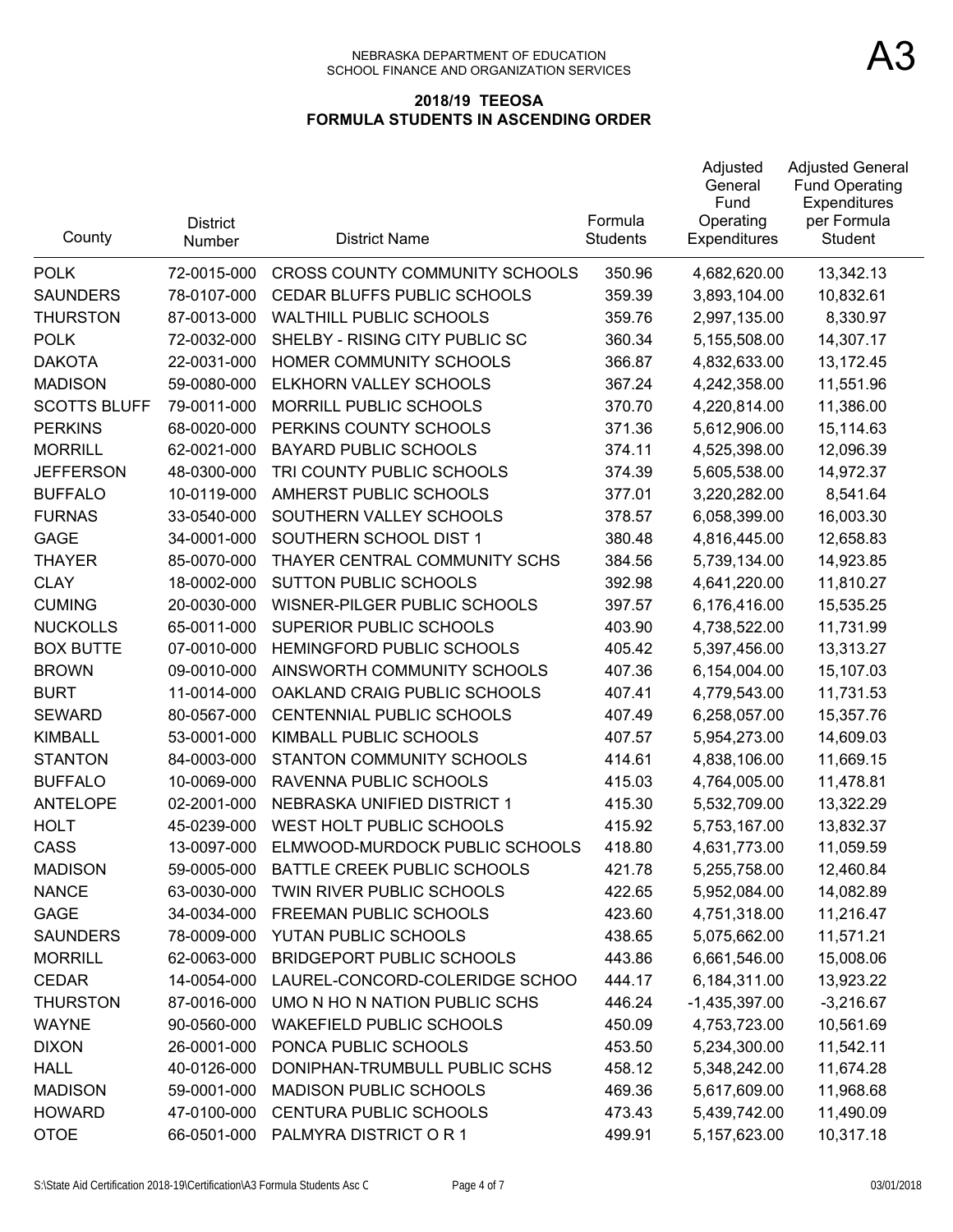| County              | <b>District</b><br>Number | <b>District Name</b>                    | Formula<br><b>Students</b> | Adjusted<br>General<br>Fund<br>Operating<br>Expenditures | <b>Adjusted General</b><br><b>Fund Operating</b><br>Expenditures<br>per Formula<br>Student |
|---------------------|---------------------------|-----------------------------------------|----------------------------|----------------------------------------------------------|--------------------------------------------------------------------------------------------|
| <b>POLK</b>         | 72-0015-000               | CROSS COUNTY COMMUNITY SCHOOLS          | 350.96                     | 4,682,620.00                                             | 13,342.13                                                                                  |
| <b>SAUNDERS</b>     | 78-0107-000               | CEDAR BLUFFS PUBLIC SCHOOLS             | 359.39                     | 3,893,104.00                                             | 10,832.61                                                                                  |
| <b>THURSTON</b>     | 87-0013-000               | <b>WALTHILL PUBLIC SCHOOLS</b>          | 359.76                     | 2,997,135.00                                             | 8,330.97                                                                                   |
| <b>POLK</b>         | 72-0032-000               | SHELBY - RISING CITY PUBLIC SC          | 360.34                     | 5,155,508.00                                             | 14,307.17                                                                                  |
| <b>DAKOTA</b>       | 22-0031-000               | HOMER COMMUNITY SCHOOLS                 | 366.87                     | 4,832,633.00                                             | 13,172.45                                                                                  |
| <b>MADISON</b>      | 59-0080-000               | ELKHORN VALLEY SCHOOLS                  | 367.24                     | 4,242,358.00                                             | 11,551.96                                                                                  |
| <b>SCOTTS BLUFF</b> | 79-0011-000               | <b>MORRILL PUBLIC SCHOOLS</b>           | 370.70                     | 4,220,814.00                                             | 11,386.00                                                                                  |
| <b>PERKINS</b>      | 68-0020-000               | PERKINS COUNTY SCHOOLS                  | 371.36                     | 5,612,906.00                                             | 15,114.63                                                                                  |
| <b>MORRILL</b>      | 62-0021-000               | <b>BAYARD PUBLIC SCHOOLS</b>            | 374.11                     | 4,525,398.00                                             | 12,096.39                                                                                  |
| <b>JEFFERSON</b>    | 48-0300-000               | TRI COUNTY PUBLIC SCHOOLS               | 374.39                     | 5,605,538.00                                             | 14,972.37                                                                                  |
| <b>BUFFALO</b>      | 10-0119-000               | AMHERST PUBLIC SCHOOLS                  | 377.01                     | 3,220,282.00                                             | 8,541.64                                                                                   |
| <b>FURNAS</b>       | 33-0540-000               | SOUTHERN VALLEY SCHOOLS                 | 378.57                     | 6,058,399.00                                             | 16,003.30                                                                                  |
| <b>GAGE</b>         | 34-0001-000               | SOUTHERN SCHOOL DIST 1                  | 380.48                     | 4,816,445.00                                             | 12,658.83                                                                                  |
| <b>THAYER</b>       | 85-0070-000               | THAYER CENTRAL COMMUNITY SCHS           | 384.56                     | 5,739,134.00                                             | 14,923.85                                                                                  |
| <b>CLAY</b>         | 18-0002-000               | <b>SUTTON PUBLIC SCHOOLS</b>            | 392.98                     | 4,641,220.00                                             | 11,810.27                                                                                  |
| <b>CUMING</b>       | 20-0030-000               | WISNER-PILGER PUBLIC SCHOOLS            | 397.57                     | 6,176,416.00                                             | 15,535.25                                                                                  |
| <b>NUCKOLLS</b>     | 65-0011-000               | SUPERIOR PUBLIC SCHOOLS                 | 403.90                     | 4,738,522.00                                             | 11,731.99                                                                                  |
| <b>BOX BUTTE</b>    | 07-0010-000               | HEMINGFORD PUBLIC SCHOOLS               | 405.42                     | 5,397,456.00                                             | 13,313.27                                                                                  |
| <b>BROWN</b>        | 09-0010-000               | AINSWORTH COMMUNITY SCHOOLS             | 407.36                     | 6,154,004.00                                             | 15,107.03                                                                                  |
| <b>BURT</b>         | 11-0014-000               | OAKLAND CRAIG PUBLIC SCHOOLS            | 407.41                     | 4,779,543.00                                             | 11,731.53                                                                                  |
| <b>SEWARD</b>       | 80-0567-000               | CENTENNIAL PUBLIC SCHOOLS               | 407.49                     | 6,258,057.00                                             | 15,357.76                                                                                  |
| <b>KIMBALL</b>      | 53-0001-000               | KIMBALL PUBLIC SCHOOLS                  | 407.57                     | 5,954,273.00                                             | 14,609.03                                                                                  |
| <b>STANTON</b>      | 84-0003-000               | STANTON COMMUNITY SCHOOLS               | 414.61                     | 4,838,106.00                                             | 11,669.15                                                                                  |
| <b>BUFFALO</b>      | 10-0069-000               | RAVENNA PUBLIC SCHOOLS                  | 415.03                     | 4,764,005.00                                             | 11,478.81                                                                                  |
| <b>ANTELOPE</b>     | 02-2001-000               | NEBRASKA UNIFIED DISTRICT 1             | 415.30                     | 5,532,709.00                                             | 13,322.29                                                                                  |
| <b>HOLT</b>         | 45-0239-000               | WEST HOLT PUBLIC SCHOOLS                | 415.92                     | 5,753,167.00                                             | 13,832.37                                                                                  |
| <b>CASS</b>         | 13-0097-000               | ELMWOOD-MURDOCK PUBLIC SCHOOLS          | 418.80                     | 4,631,773.00                                             | 11,059.59                                                                                  |
| <b>MADISON</b>      |                           | 59-0005-000 BATTLE CREEK PUBLIC SCHOOLS | 421.78                     | 5,255,758.00                                             | 12,460.84                                                                                  |
| <b>NANCE</b>        | 63-0030-000               | TWIN RIVER PUBLIC SCHOOLS               | 422.65                     | 5,952,084.00                                             | 14,082.89                                                                                  |
| <b>GAGE</b>         | 34-0034-000               | FREEMAN PUBLIC SCHOOLS                  | 423.60                     | 4,751,318.00                                             | 11,216.47                                                                                  |
| <b>SAUNDERS</b>     | 78-0009-000               | YUTAN PUBLIC SCHOOLS                    | 438.65                     | 5,075,662.00                                             | 11,571.21                                                                                  |
| <b>MORRILL</b>      | 62-0063-000               | <b>BRIDGEPORT PUBLIC SCHOOLS</b>        | 443.86                     | 6,661,546.00                                             | 15,008.06                                                                                  |
| <b>CEDAR</b>        | 14-0054-000               | LAUREL-CONCORD-COLERIDGE SCHOO          | 444.17                     | 6,184,311.00                                             | 13,923.22                                                                                  |
| <b>THURSTON</b>     | 87-0016-000               | UMO N HO N NATION PUBLIC SCHS           | 446.24                     | $-1,435,397.00$                                          | $-3,216.67$                                                                                |
| <b>WAYNE</b>        | 90-0560-000               | <b>WAKEFIELD PUBLIC SCHOOLS</b>         | 450.09                     | 4,753,723.00                                             | 10,561.69                                                                                  |
| <b>DIXON</b>        | 26-0001-000               | PONCA PUBLIC SCHOOLS                    | 453.50                     | 5,234,300.00                                             | 11,542.11                                                                                  |
| <b>HALL</b>         | 40-0126-000               | DONIPHAN-TRUMBULL PUBLIC SCHS           | 458.12                     | 5,348,242.00                                             | 11,674.28                                                                                  |
| <b>MADISON</b>      | 59-0001-000               | <b>MADISON PUBLIC SCHOOLS</b>           | 469.36                     | 5,617,609.00                                             | 11,968.68                                                                                  |
| <b>HOWARD</b>       | 47-0100-000               | CENTURA PUBLIC SCHOOLS                  | 473.43                     | 5,439,742.00                                             | 11,490.09                                                                                  |
| <b>OTOE</b>         | 66-0501-000               | PALMYRA DISTRICT OR 1                   | 499.91                     | 5,157,623.00                                             | 10,317.18                                                                                  |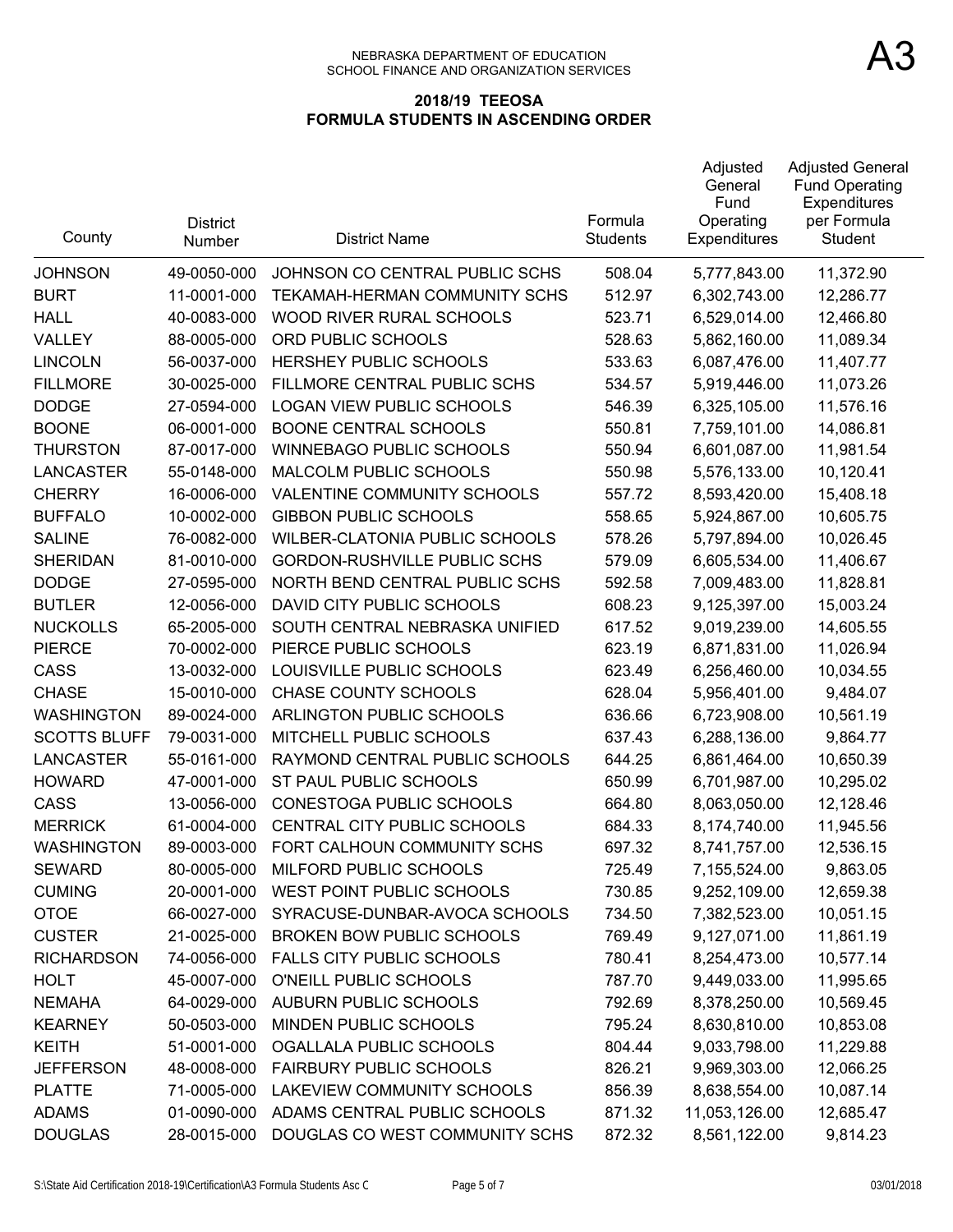| County              | <b>District</b><br>Number | <b>District Name</b>                  | Formula<br><b>Students</b> | Adjusted<br>General<br>Fund<br>Operating<br>Expenditures | <b>Adjusted General</b><br><b>Fund Operating</b><br>Expenditures<br>per Formula<br>Student |
|---------------------|---------------------------|---------------------------------------|----------------------------|----------------------------------------------------------|--------------------------------------------------------------------------------------------|
| <b>JOHNSON</b>      | 49-0050-000               | JOHNSON CO CENTRAL PUBLIC SCHS        | 508.04                     | 5,777,843.00                                             | 11,372.90                                                                                  |
| <b>BURT</b>         | 11-0001-000               | TEKAMAH-HERMAN COMMUNITY SCHS         | 512.97                     | 6,302,743.00                                             | 12,286.77                                                                                  |
| <b>HALL</b>         | 40-0083-000               | WOOD RIVER RURAL SCHOOLS              | 523.71                     | 6,529,014.00                                             | 12,466.80                                                                                  |
| VALLEY              | 88-0005-000               | ORD PUBLIC SCHOOLS                    | 528.63                     | 5,862,160.00                                             | 11,089.34                                                                                  |
| <b>LINCOLN</b>      | 56-0037-000               | HERSHEY PUBLIC SCHOOLS                | 533.63                     | 6,087,476.00                                             | 11,407.77                                                                                  |
| <b>FILLMORE</b>     | 30-0025-000               | FILLMORE CENTRAL PUBLIC SCHS          | 534.57                     | 5,919,446.00                                             | 11,073.26                                                                                  |
| <b>DODGE</b>        | 27-0594-000               | <b>LOGAN VIEW PUBLIC SCHOOLS</b>      | 546.39                     | 6,325,105.00                                             | 11,576.16                                                                                  |
| <b>BOONE</b>        | 06-0001-000               | <b>BOONE CENTRAL SCHOOLS</b>          | 550.81                     | 7,759,101.00                                             | 14,086.81                                                                                  |
| <b>THURSTON</b>     | 87-0017-000               | <b>WINNEBAGO PUBLIC SCHOOLS</b>       | 550.94                     | 6,601,087.00                                             | 11,981.54                                                                                  |
| <b>LANCASTER</b>    | 55-0148-000               | MALCOLM PUBLIC SCHOOLS                | 550.98                     | 5,576,133.00                                             | 10,120.41                                                                                  |
| <b>CHERRY</b>       | 16-0006-000               | VALENTINE COMMUNITY SCHOOLS           | 557.72                     | 8,593,420.00                                             | 15,408.18                                                                                  |
| <b>BUFFALO</b>      | 10-0002-000               | <b>GIBBON PUBLIC SCHOOLS</b>          | 558.65                     | 5,924,867.00                                             | 10,605.75                                                                                  |
| <b>SALINE</b>       | 76-0082-000               | <b>WILBER-CLATONIA PUBLIC SCHOOLS</b> | 578.26                     | 5,797,894.00                                             | 10,026.45                                                                                  |
| <b>SHERIDAN</b>     | 81-0010-000               | <b>GORDON-RUSHVILLE PUBLIC SCHS</b>   | 579.09                     | 6,605,534.00                                             | 11,406.67                                                                                  |
| <b>DODGE</b>        | 27-0595-000               | NORTH BEND CENTRAL PUBLIC SCHS        | 592.58                     | 7,009,483.00                                             | 11,828.81                                                                                  |
| <b>BUTLER</b>       | 12-0056-000               | DAVID CITY PUBLIC SCHOOLS             | 608.23                     | 9,125,397.00                                             | 15,003.24                                                                                  |
| <b>NUCKOLLS</b>     | 65-2005-000               | SOUTH CENTRAL NEBRASKA UNIFIED        | 617.52                     | 9,019,239.00                                             | 14,605.55                                                                                  |
| <b>PIERCE</b>       | 70-0002-000               | PIERCE PUBLIC SCHOOLS                 | 623.19                     | 6,871,831.00                                             | 11,026.94                                                                                  |
| CASS                | 13-0032-000               | LOUISVILLE PUBLIC SCHOOLS             | 623.49                     | 6,256,460.00                                             | 10,034.55                                                                                  |
| <b>CHASE</b>        | 15-0010-000               | <b>CHASE COUNTY SCHOOLS</b>           | 628.04                     | 5,956,401.00                                             | 9,484.07                                                                                   |
| <b>WASHINGTON</b>   | 89-0024-000               | ARLINGTON PUBLIC SCHOOLS              | 636.66                     | 6,723,908.00                                             | 10,561.19                                                                                  |
| <b>SCOTTS BLUFF</b> | 79-0031-000               | MITCHELL PUBLIC SCHOOLS               | 637.43                     | 6,288,136.00                                             | 9,864.77                                                                                   |
| <b>LANCASTER</b>    | 55-0161-000               | RAYMOND CENTRAL PUBLIC SCHOOLS        | 644.25                     | 6,861,464.00                                             | 10,650.39                                                                                  |
| <b>HOWARD</b>       | 47-0001-000               | ST PAUL PUBLIC SCHOOLS                | 650.99                     | 6,701,987.00                                             | 10,295.02                                                                                  |
| CASS                | 13-0056-000               | <b>CONESTOGA PUBLIC SCHOOLS</b>       | 664.80                     | 8,063,050.00                                             | 12,128.46                                                                                  |
| <b>MERRICK</b>      | 61-0004-000               | CENTRAL CITY PUBLIC SCHOOLS           | 684.33                     | 8,174,740.00                                             | 11,945.56                                                                                  |
| WASHINGTON          | 89-0003-000               | FORT CALHOUN COMMUNITY SCHS           | 697.32                     | 8,741,757.00                                             | 12,536.15                                                                                  |
| <b>SEWARD</b>       | 80-0005-000               | MILFORD PUBLIC SCHOOLS                | 725.49                     | 7,155,524.00                                             | 9,863.05                                                                                   |
| <b>CUMING</b>       | 20-0001-000               | WEST POINT PUBLIC SCHOOLS             | 730.85                     | 9,252,109.00                                             | 12,659.38                                                                                  |
| <b>OTOE</b>         | 66-0027-000               | SYRACUSE-DUNBAR-AVOCA SCHOOLS         | 734.50                     | 7,382,523.00                                             | 10,051.15                                                                                  |
| <b>CUSTER</b>       | 21-0025-000               | <b>BROKEN BOW PUBLIC SCHOOLS</b>      | 769.49                     | 9,127,071.00                                             | 11,861.19                                                                                  |
| <b>RICHARDSON</b>   | 74-0056-000               | <b>FALLS CITY PUBLIC SCHOOLS</b>      | 780.41                     | 8,254,473.00                                             | 10,577.14                                                                                  |
| <b>HOLT</b>         | 45-0007-000               | O'NEILL PUBLIC SCHOOLS                | 787.70                     | 9,449,033.00                                             | 11,995.65                                                                                  |
| <b>NEMAHA</b>       | 64-0029-000               | AUBURN PUBLIC SCHOOLS                 | 792.69                     | 8,378,250.00                                             | 10,569.45                                                                                  |
| <b>KEARNEY</b>      | 50-0503-000               | MINDEN PUBLIC SCHOOLS                 | 795.24                     | 8,630,810.00                                             | 10,853.08                                                                                  |
| <b>KEITH</b>        | 51-0001-000               | OGALLALA PUBLIC SCHOOLS               | 804.44                     | 9,033,798.00                                             | 11,229.88                                                                                  |
| <b>JEFFERSON</b>    | 48-0008-000               | <b>FAIRBURY PUBLIC SCHOOLS</b>        | 826.21                     | 9,969,303.00                                             | 12,066.25                                                                                  |
| <b>PLATTE</b>       | 71-0005-000               | LAKEVIEW COMMUNITY SCHOOLS            | 856.39                     | 8,638,554.00                                             | 10,087.14                                                                                  |
| <b>ADAMS</b>        | 01-0090-000               | ADAMS CENTRAL PUBLIC SCHOOLS          | 871.32                     | 11,053,126.00                                            | 12,685.47                                                                                  |
| <b>DOUGLAS</b>      | 28-0015-000               | DOUGLAS CO WEST COMMUNITY SCHS        | 872.32                     | 8,561,122.00                                             | 9,814.23                                                                                   |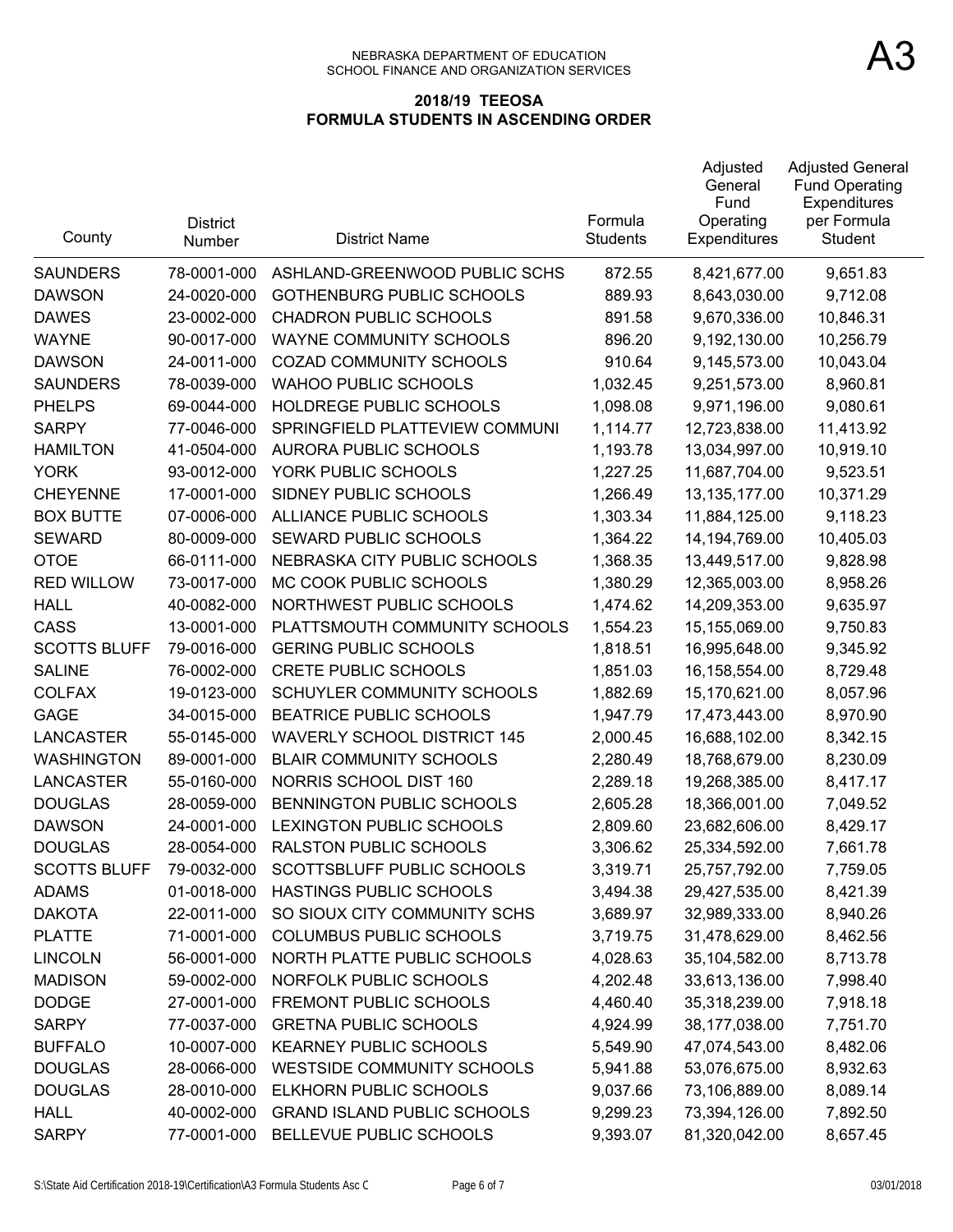| County              | <b>District</b><br>Number | <b>District Name</b>               | Formula<br><b>Students</b> | Adjusted<br>General<br>Fund<br>Operating<br><b>Expenditures</b> | <b>Adjusted General</b><br><b>Fund Operating</b><br>Expenditures<br>per Formula<br><b>Student</b> |
|---------------------|---------------------------|------------------------------------|----------------------------|-----------------------------------------------------------------|---------------------------------------------------------------------------------------------------|
| <b>SAUNDERS</b>     | 78-0001-000               | ASHLAND-GREENWOOD PUBLIC SCHS      | 872.55                     | 8,421,677.00                                                    | 9,651.83                                                                                          |
| <b>DAWSON</b>       | 24-0020-000               | <b>GOTHENBURG PUBLIC SCHOOLS</b>   | 889.93                     | 8,643,030.00                                                    | 9,712.08                                                                                          |
| <b>DAWES</b>        | 23-0002-000               | <b>CHADRON PUBLIC SCHOOLS</b>      | 891.58                     | 9,670,336.00                                                    | 10,846.31                                                                                         |
| <b>WAYNE</b>        | 90-0017-000               | WAYNE COMMUNITY SCHOOLS            | 896.20                     | 9,192,130.00                                                    | 10,256.79                                                                                         |
| <b>DAWSON</b>       | 24-0011-000               | COZAD COMMUNITY SCHOOLS            | 910.64                     | 9,145,573.00                                                    | 10,043.04                                                                                         |
| <b>SAUNDERS</b>     | 78-0039-000               | <b>WAHOO PUBLIC SCHOOLS</b>        | 1,032.45                   | 9,251,573.00                                                    | 8,960.81                                                                                          |
| <b>PHELPS</b>       | 69-0044-000               | HOLDREGE PUBLIC SCHOOLS            | 1,098.08                   | 9,971,196.00                                                    | 9,080.61                                                                                          |
| <b>SARPY</b>        | 77-0046-000               | SPRINGFIELD PLATTEVIEW COMMUNI     | 1,114.77                   | 12,723,838.00                                                   | 11,413.92                                                                                         |
| <b>HAMILTON</b>     | 41-0504-000               | AURORA PUBLIC SCHOOLS              | 1,193.78                   | 13,034,997.00                                                   | 10,919.10                                                                                         |
| <b>YORK</b>         | 93-0012-000               | YORK PUBLIC SCHOOLS                | 1,227.25                   | 11,687,704.00                                                   | 9,523.51                                                                                          |
| <b>CHEYENNE</b>     | 17-0001-000               | SIDNEY PUBLIC SCHOOLS              | 1,266.49                   | 13,135,177.00                                                   | 10,371.29                                                                                         |
| <b>BOX BUTTE</b>    | 07-0006-000               | ALLIANCE PUBLIC SCHOOLS            | 1,303.34                   | 11,884,125.00                                                   | 9,118.23                                                                                          |
| <b>SEWARD</b>       | 80-0009-000               | <b>SEWARD PUBLIC SCHOOLS</b>       | 1,364.22                   | 14,194,769.00                                                   | 10,405.03                                                                                         |
| <b>OTOE</b>         | 66-0111-000               | NEBRASKA CITY PUBLIC SCHOOLS       | 1,368.35                   | 13,449,517.00                                                   | 9,828.98                                                                                          |
| <b>RED WILLOW</b>   | 73-0017-000               | MC COOK PUBLIC SCHOOLS             | 1,380.29                   | 12,365,003.00                                                   | 8,958.26                                                                                          |
| <b>HALL</b>         | 40-0082-000               | NORTHWEST PUBLIC SCHOOLS           | 1,474.62                   | 14,209,353.00                                                   | 9,635.97                                                                                          |
| CASS                | 13-0001-000               | PLATTSMOUTH COMMUNITY SCHOOLS      | 1,554.23                   | 15,155,069.00                                                   | 9,750.83                                                                                          |
| <b>SCOTTS BLUFF</b> | 79-0016-000               | <b>GERING PUBLIC SCHOOLS</b>       | 1,818.51                   | 16,995,648.00                                                   | 9,345.92                                                                                          |
| <b>SALINE</b>       | 76-0002-000               | <b>CRETE PUBLIC SCHOOLS</b>        | 1,851.03                   | 16,158,554.00                                                   | 8,729.48                                                                                          |
| <b>COLFAX</b>       | 19-0123-000               | SCHUYLER COMMUNITY SCHOOLS         | 1,882.69                   | 15,170,621.00                                                   | 8,057.96                                                                                          |
| <b>GAGE</b>         | 34-0015-000               | <b>BEATRICE PUBLIC SCHOOLS</b>     | 1,947.79                   | 17,473,443.00                                                   | 8,970.90                                                                                          |
| <b>LANCASTER</b>    | 55-0145-000               | <b>WAVERLY SCHOOL DISTRICT 145</b> | 2,000.45                   | 16,688,102.00                                                   | 8,342.15                                                                                          |
| <b>WASHINGTON</b>   | 89-0001-000               | <b>BLAIR COMMUNITY SCHOOLS</b>     | 2,280.49                   | 18,768,679.00                                                   | 8,230.09                                                                                          |
| <b>LANCASTER</b>    | 55-0160-000               | NORRIS SCHOOL DIST 160             | 2,289.18                   | 19,268,385.00                                                   | 8,417.17                                                                                          |
| <b>DOUGLAS</b>      | 28-0059-000               | BENNINGTON PUBLIC SCHOOLS          | 2,605.28                   | 18,366,001.00                                                   | 7,049.52                                                                                          |
| <b>DAWSON</b>       | 24-0001-000               | LEXINGTON PUBLIC SCHOOLS           | 2,809.60                   | 23,682,606.00                                                   | 8,429.17                                                                                          |
| <b>DOUGLAS</b>      | 28-0054-000               | <b>RALSTON PUBLIC SCHOOLS</b>      | 3,306.62                   | 25,334,592.00                                                   | 7,661.78                                                                                          |
| <b>SCOTTS BLUFF</b> | 79-0032-000               | SCOTTSBLUFF PUBLIC SCHOOLS         | 3,319.71                   | 25,757,792.00                                                   | 7,759.05                                                                                          |
| <b>ADAMS</b>        | 01-0018-000               | HASTINGS PUBLIC SCHOOLS            | 3,494.38                   | 29,427,535.00                                                   | 8,421.39                                                                                          |
| <b>DAKOTA</b>       | 22-0011-000               | SO SIOUX CITY COMMUNITY SCHS       | 3,689.97                   | 32,989,333.00                                                   | 8,940.26                                                                                          |
| <b>PLATTE</b>       | 71-0001-000               | <b>COLUMBUS PUBLIC SCHOOLS</b>     | 3,719.75                   | 31,478,629.00                                                   | 8,462.56                                                                                          |
| <b>LINCOLN</b>      | 56-0001-000               | NORTH PLATTE PUBLIC SCHOOLS        | 4,028.63                   | 35,104,582.00                                                   | 8,713.78                                                                                          |
| <b>MADISON</b>      | 59-0002-000               | NORFOLK PUBLIC SCHOOLS             | 4,202.48                   | 33,613,136.00                                                   | 7,998.40                                                                                          |
| <b>DODGE</b>        | 27-0001-000               | FREMONT PUBLIC SCHOOLS             | 4,460.40                   | 35,318,239.00                                                   | 7,918.18                                                                                          |
| <b>SARPY</b>        | 77-0037-000               | <b>GRETNA PUBLIC SCHOOLS</b>       | 4,924.99                   | 38,177,038.00                                                   | 7,751.70                                                                                          |
| <b>BUFFALO</b>      | 10-0007-000               | <b>KEARNEY PUBLIC SCHOOLS</b>      | 5,549.90                   | 47,074,543.00                                                   | 8,482.06                                                                                          |
| <b>DOUGLAS</b>      | 28-0066-000               | WESTSIDE COMMUNITY SCHOOLS         | 5,941.88                   | 53,076,675.00                                                   | 8,932.63                                                                                          |
| <b>DOUGLAS</b>      | 28-0010-000               | ELKHORN PUBLIC SCHOOLS             | 9,037.66                   | 73,106,889.00                                                   | 8,089.14                                                                                          |
| <b>HALL</b>         | 40-0002-000               | <b>GRAND ISLAND PUBLIC SCHOOLS</b> | 9,299.23                   | 73,394,126.00                                                   | 7,892.50                                                                                          |
| <b>SARPY</b>        | 77-0001-000               | BELLEVUE PUBLIC SCHOOLS            | 9,393.07                   | 81,320,042.00                                                   | 8,657.45                                                                                          |